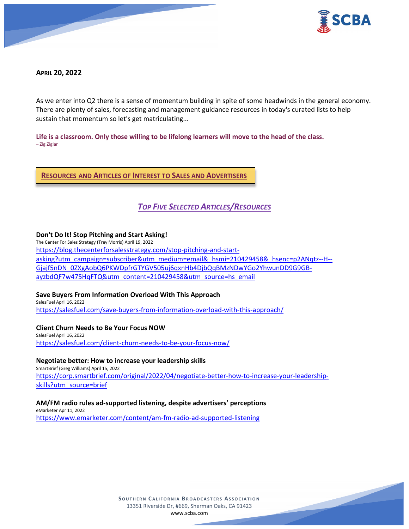

## **APRIL 20, 2022**

As we enter into Q2 there is a sense of momentum building in spite of some headwinds in the general economy. There are plenty of sales, forecasting and management guidance resources in today's curated lists to help sustain that momentum so let's get matriculating...

**Life is a classroom. Only those willing to be lifelong learners will move to the head of the class.** – Zig Ziglar

**RESOURCES AND ARTICLES OF INTEREST TO SALES AND ADVERTISERS**

# *TOP FIVE SELECTED ARTICLES/RESOURCES*

## **Don't Do It! Stop Pitching and Start Asking!**

The Center For Sales Strategy (Trey Morris) April 19, 2022 [https://blog.thecenterforsalesstrategy.com/stop-pitching-and-start](https://blog.thecenterforsalesstrategy.com/stop-pitching-and-start-asking?utm_campaign=subscriber&utm_medium=email&_hsmi=210429458&_hsenc=p2ANqtz--H--Gjajf5nDN_0ZXgAobQ6PKWDpfrGTYGV505uj6qxnHb4DjbQqBMzNDwYGo2YhwunDD9G9GB-ayzbdQF7w475HqFTQ&utm_content=210429458&utm_source=hs_email)[asking?utm\\_campaign=subscriber&utm\\_medium=email&\\_hsmi=210429458&\\_hsenc=p2ANqtz--H--](https://blog.thecenterforsalesstrategy.com/stop-pitching-and-start-asking?utm_campaign=subscriber&utm_medium=email&_hsmi=210429458&_hsenc=p2ANqtz--H--Gjajf5nDN_0ZXgAobQ6PKWDpfrGTYGV505uj6qxnHb4DjbQqBMzNDwYGo2YhwunDD9G9GB-ayzbdQF7w475HqFTQ&utm_content=210429458&utm_source=hs_email) [Gjajf5nDN\\_0ZXgAobQ6PKWDpfrGTYGV505uj6qxnHb4DjbQqBMzNDwYGo2YhwunDD9G9GB](https://blog.thecenterforsalesstrategy.com/stop-pitching-and-start-asking?utm_campaign=subscriber&utm_medium=email&_hsmi=210429458&_hsenc=p2ANqtz--H--Gjajf5nDN_0ZXgAobQ6PKWDpfrGTYGV505uj6qxnHb4DjbQqBMzNDwYGo2YhwunDD9G9GB-ayzbdQF7w475HqFTQ&utm_content=210429458&utm_source=hs_email)[ayzbdQF7w475HqFTQ&utm\\_content=210429458&utm\\_source=hs\\_email](https://blog.thecenterforsalesstrategy.com/stop-pitching-and-start-asking?utm_campaign=subscriber&utm_medium=email&_hsmi=210429458&_hsenc=p2ANqtz--H--Gjajf5nDN_0ZXgAobQ6PKWDpfrGTYGV505uj6qxnHb4DjbQqBMzNDwYGo2YhwunDD9G9GB-ayzbdQF7w475HqFTQ&utm_content=210429458&utm_source=hs_email)

### **Save Buyers From Information Overload With This Approach**

SalesFuel April 16, 2022 <https://salesfuel.com/save-buyers-from-information-overload-with-this-approach/>

### **Client Churn Needs to Be Your Focus NOW**

SalesFuel April 16, 2022 <https://salesfuel.com/client-churn-needs-to-be-your-focus-now/>

### **Negotiate better: How to increase your leadership skills**

SmartBrief (Greg Williams) April 15, 2022 [https://corp.smartbrief.com/original/2022/04/negotiate-better-how-to-increase-your-leadership](https://corp.smartbrief.com/original/2022/04/negotiate-better-how-to-increase-your-leadership-skills?utm_source=brief)[skills?utm\\_source=brief](https://corp.smartbrief.com/original/2022/04/negotiate-better-how-to-increase-your-leadership-skills?utm_source=brief)

### **AM/FM radio rules ad-supported listening, despite advertisers' perceptions**

eMarketer Apr 11, 2022 <https://www.emarketer.com/content/am-fm-radio-ad-supported-listening>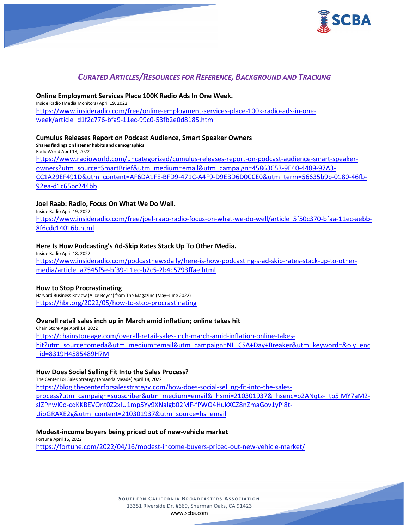

# *CURATED ARTICLES/RESOURCES FOR REFERENCE, BACKGROUND AND TRACKING*

### **Online Employment Services Place 100K Radio Ads In One Week.**

Inside Radio (Media Monitors) April 19, 2022 [https://www.insideradio.com/free/online-employment-services-place-100k-radio-ads-in-one](https://www.insideradio.com/free/online-employment-services-place-100k-radio-ads-in-one-week/article_d1f2c776-bfa9-11ec-99c0-53fb2e0d8185.html)[week/article\\_d1f2c776-bfa9-11ec-99c0-53fb2e0d8185.html](https://www.insideradio.com/free/online-employment-services-place-100k-radio-ads-in-one-week/article_d1f2c776-bfa9-11ec-99c0-53fb2e0d8185.html)

## **Cumulus Releases Report on Podcast Audience, Smart Speaker Owners**

**Shares findings on listener habits and demographics** RadioWorld April 18, 2022 [https://www.radioworld.com/uncategorized/cumulus-releases-report-on-podcast-audience-smart-speaker](https://www.radioworld.com/uncategorized/cumulus-releases-report-on-podcast-audience-smart-speaker-owners?utm_source=SmartBrief&utm_medium=email&utm_campaign=45863C53-9E40-4489-97A3-CC1A29EF491D&utm_content=AF6DA1FE-BFD9-471C-A4F9-D9EBD6D0CCE0&utm_term=56635b9b-0180-46fb-92ea-d1c65bc244bb)[owners?utm\\_source=SmartBrief&utm\\_medium=email&utm\\_campaign=45863C53-9E40-4489-97A3-](https://www.radioworld.com/uncategorized/cumulus-releases-report-on-podcast-audience-smart-speaker-owners?utm_source=SmartBrief&utm_medium=email&utm_campaign=45863C53-9E40-4489-97A3-CC1A29EF491D&utm_content=AF6DA1FE-BFD9-471C-A4F9-D9EBD6D0CCE0&utm_term=56635b9b-0180-46fb-92ea-d1c65bc244bb) [CC1A29EF491D&utm\\_content=AF6DA1FE-BFD9-471C-A4F9-D9EBD6D0CCE0&utm\\_term=56635b9b-0180-46fb-](https://www.radioworld.com/uncategorized/cumulus-releases-report-on-podcast-audience-smart-speaker-owners?utm_source=SmartBrief&utm_medium=email&utm_campaign=45863C53-9E40-4489-97A3-CC1A29EF491D&utm_content=AF6DA1FE-BFD9-471C-A4F9-D9EBD6D0CCE0&utm_term=56635b9b-0180-46fb-92ea-d1c65bc244bb)[92ea-d1c65bc244bb](https://www.radioworld.com/uncategorized/cumulus-releases-report-on-podcast-audience-smart-speaker-owners?utm_source=SmartBrief&utm_medium=email&utm_campaign=45863C53-9E40-4489-97A3-CC1A29EF491D&utm_content=AF6DA1FE-BFD9-471C-A4F9-D9EBD6D0CCE0&utm_term=56635b9b-0180-46fb-92ea-d1c65bc244bb)

## **Joel Raab: Radio, Focus On What We Do Well.**

Inside Radio April 19, 2022

[https://www.insideradio.com/free/joel-raab-radio-focus-on-what-we-do-well/article\\_5f50c370-bfaa-11ec-aebb-](https://www.insideradio.com/free/joel-raab-radio-focus-on-what-we-do-well/article_5f50c370-bfaa-11ec-aebb-8f6cdc14016b.html)[8f6cdc14016b.html](https://www.insideradio.com/free/joel-raab-radio-focus-on-what-we-do-well/article_5f50c370-bfaa-11ec-aebb-8f6cdc14016b.html)

### **Here Is How Podcasting's Ad-Skip Rates Stack Up To Other Media.**

Inside Radio April 18, 2022 [https://www.insideradio.com/podcastnewsdaily/here-is-how-podcasting-s-ad-skip-rates-stack-up-to-other](https://www.insideradio.com/podcastnewsdaily/here-is-how-podcasting-s-ad-skip-rates-stack-up-to-other-media/article_a7545f5e-bf39-11ec-b2c5-2b4c5793ffae.html)[media/article\\_a7545f5e-bf39-11ec-b2c5-2b4c5793ffae.html](https://www.insideradio.com/podcastnewsdaily/here-is-how-podcasting-s-ad-skip-rates-stack-up-to-other-media/article_a7545f5e-bf39-11ec-b2c5-2b4c5793ffae.html)

### **How to Stop Procrastinating**

Harvard Business Review (Alice Boyes) from The Magazine (May–June 2022) <https://hbr.org/2022/05/how-to-stop-procrastinating>

## **Overall retail sales inch up in March amid inflation; online takes hit**

Chain Store Age April 14, 2022 [https://chainstoreage.com/overall-retail-sales-inch-march-amid-inflation-online-takes](https://chainstoreage.com/overall-retail-sales-inch-march-amid-inflation-online-takes-hit?utm_source=omeda&utm_medium=email&utm_campaign=NL_CSA+Day+Breaker&utm_keyword=&oly_enc_id=8319H4585489H7M)[hit?utm\\_source=omeda&utm\\_medium=email&utm\\_campaign=NL\\_CSA+Day+Breaker&utm\\_keyword=&oly\\_enc](https://chainstoreage.com/overall-retail-sales-inch-march-amid-inflation-online-takes-hit?utm_source=omeda&utm_medium=email&utm_campaign=NL_CSA+Day+Breaker&utm_keyword=&oly_enc_id=8319H4585489H7M) [\\_id=8319H4585489H7M](https://chainstoreage.com/overall-retail-sales-inch-march-amid-inflation-online-takes-hit?utm_source=omeda&utm_medium=email&utm_campaign=NL_CSA+Day+Breaker&utm_keyword=&oly_enc_id=8319H4585489H7M)

### **How Does Social Selling Fit Into the Sales Process?**

The Center For Sales Strategy (Amanda Meade) April 18, 2022 [https://blog.thecenterforsalesstrategy.com/how-does-social-selling-fit-into-the-sales](https://blog.thecenterforsalesstrategy.com/how-does-social-selling-fit-into-the-sales-process?utm_campaign=subscriber&utm_medium=email&_hsmi=210301937&_hsenc=p2ANqtz-_tb5IMY7aM2-sIZPnwI0o-cqKKBEVOnt0Z2xlU1mp5Yy9XNalgb02MF-fPWO4HukXCZ8nZmaGov1yPi8t-UioGRAXE2g&utm_content=210301937&utm_source=hs_email)[process?utm\\_campaign=subscriber&utm\\_medium=email&\\_hsmi=210301937&\\_hsenc=p2ANqtz-\\_tb5IMY7aM2](https://blog.thecenterforsalesstrategy.com/how-does-social-selling-fit-into-the-sales-process?utm_campaign=subscriber&utm_medium=email&_hsmi=210301937&_hsenc=p2ANqtz-_tb5IMY7aM2-sIZPnwI0o-cqKKBEVOnt0Z2xlU1mp5Yy9XNalgb02MF-fPWO4HukXCZ8nZmaGov1yPi8t-UioGRAXE2g&utm_content=210301937&utm_source=hs_email) [sIZPnwI0o-cqKKBEVOnt0Z2xlU1mp5Yy9XNalgb02MF-fPWO4HukXCZ8nZmaGov1yPi8t-](https://blog.thecenterforsalesstrategy.com/how-does-social-selling-fit-into-the-sales-process?utm_campaign=subscriber&utm_medium=email&_hsmi=210301937&_hsenc=p2ANqtz-_tb5IMY7aM2-sIZPnwI0o-cqKKBEVOnt0Z2xlU1mp5Yy9XNalgb02MF-fPWO4HukXCZ8nZmaGov1yPi8t-UioGRAXE2g&utm_content=210301937&utm_source=hs_email)[UioGRAXE2g&utm\\_content=210301937&utm\\_source=hs\\_email](https://blog.thecenterforsalesstrategy.com/how-does-social-selling-fit-into-the-sales-process?utm_campaign=subscriber&utm_medium=email&_hsmi=210301937&_hsenc=p2ANqtz-_tb5IMY7aM2-sIZPnwI0o-cqKKBEVOnt0Z2xlU1mp5Yy9XNalgb02MF-fPWO4HukXCZ8nZmaGov1yPi8t-UioGRAXE2g&utm_content=210301937&utm_source=hs_email)

### **Modest-income buyers being priced out of new-vehicle market**

Fortune April 16, 2022 <https://fortune.com/2022/04/16/modest-income-buyers-priced-out-new-vehicle-market/>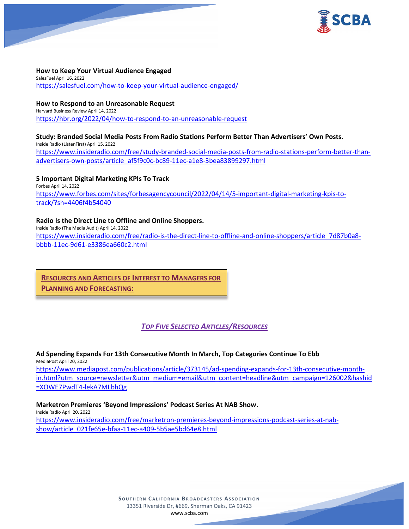

**How to Keep Your Virtual Audience Engaged** SalesFuel April 16, 2022 <https://salesfuel.com/how-to-keep-your-virtual-audience-engaged/>

**How to Respond to an Unreasonable Request** Harvard Business Review April 14, 2022 <https://hbr.org/2022/04/how-to-respond-to-an-unreasonable-request>

## **Study: Branded Social Media Posts From Radio Stations Perform Better Than Advertisers' Own Posts.**

Inside Radio (ListenFirst) April 15, 2022 [https://www.insideradio.com/free/study-branded-social-media-posts-from-radio-stations-perform-better-than](https://www.insideradio.com/free/study-branded-social-media-posts-from-radio-stations-perform-better-than-advertisers-own-posts/article_af5f9c0c-bc89-11ec-a1e8-3bea83899297.html)[advertisers-own-posts/article\\_af5f9c0c-bc89-11ec-a1e8-3bea83899297.html](https://www.insideradio.com/free/study-branded-social-media-posts-from-radio-stations-perform-better-than-advertisers-own-posts/article_af5f9c0c-bc89-11ec-a1e8-3bea83899297.html)

**5 Important Digital Marketing KPIs To Track** Forbes April 14, 2022 [https://www.forbes.com/sites/forbesagencycouncil/2022/04/14/5-important-digital-marketing-kpis-to](https://www.forbes.com/sites/forbesagencycouncil/2022/04/14/5-important-digital-marketing-kpis-to-track/?sh=4406f4b54040)[track/?sh=4406f4b54040](https://www.forbes.com/sites/forbesagencycouncil/2022/04/14/5-important-digital-marketing-kpis-to-track/?sh=4406f4b54040)

### **Radio Is the Direct Line to Offline and Online Shoppers.**

Inside Radio (The Media Audit) April 14, 2022 [https://www.insideradio.com/free/radio-is-the-direct-line-to-offline-and-online-shoppers/article\\_7d87b0a8](https://www.insideradio.com/free/radio-is-the-direct-line-to-offline-and-online-shoppers/article_7d87b0a8-bbbb-11ec-9d61-e3386ea660c2.html) [bbbb-11ec-9d61-e3386ea660c2.html](https://www.insideradio.com/free/radio-is-the-direct-line-to-offline-and-online-shoppers/article_7d87b0a8-bbbb-11ec-9d61-e3386ea660c2.html)

**RESOURCES AND ARTICLES OF INTEREST TO MANAGERS FOR PLANNING AND FORECASTING:**

## *TOP FIVE SELECTED ARTICLES/RESOURCES*

**Ad Spending Expands For 13th Consecutive Month In March, Top Categories Continue To Ebb** MediaPost April 20, 2022 [https://www.mediapost.com/publications/article/373145/ad-spending-expands-for-13th-consecutive-month](https://www.mediapost.com/publications/article/373145/ad-spending-expands-for-13th-consecutive-month-in.html?utm_source=newsletter&utm_medium=email&utm_content=headline&utm_campaign=126002&hashid=XOWE7PwdT4-lekA7MLbhQg)[in.html?utm\\_source=newsletter&utm\\_medium=email&utm\\_content=headline&utm\\_campaign=126002&hashid](https://www.mediapost.com/publications/article/373145/ad-spending-expands-for-13th-consecutive-month-in.html?utm_source=newsletter&utm_medium=email&utm_content=headline&utm_campaign=126002&hashid=XOWE7PwdT4-lekA7MLbhQg) [=XOWE7PwdT4-lekA7MLbhQg](https://www.mediapost.com/publications/article/373145/ad-spending-expands-for-13th-consecutive-month-in.html?utm_source=newsletter&utm_medium=email&utm_content=headline&utm_campaign=126002&hashid=XOWE7PwdT4-lekA7MLbhQg)

**Marketron Premieres 'Beyond Impressions' Podcast Series At NAB Show.**

Inside Radio April 20, 2022 [https://www.insideradio.com/free/marketron-premieres-beyond-impressions-podcast-series-at-nab](https://www.insideradio.com/free/marketron-premieres-beyond-impressions-podcast-series-at-nab-show/article_021fe65e-bfaa-11ec-a409-5b5ae5bd64e8.html)[show/article\\_021fe65e-bfaa-11ec-a409-5b5ae5bd64e8.html](https://www.insideradio.com/free/marketron-premieres-beyond-impressions-podcast-series-at-nab-show/article_021fe65e-bfaa-11ec-a409-5b5ae5bd64e8.html)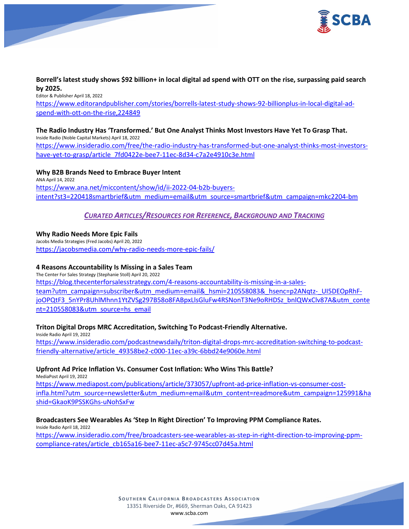

### **Borrell's latest study shows \$92 billion+ in local digital ad spend with OTT on the rise, surpassing paid search by 2025.**

Editor & Publisher April 18, 2022 [https://www.editorandpublisher.com/stories/borrells-latest-study-shows-92-billionplus-in-local-digital-ad](https://www.editorandpublisher.com/stories/borrells-latest-study-shows-92-billionplus-in-local-digital-ad-spend-with-ott-on-the-rise,224849)[spend-with-ott-on-the-rise,224849](https://www.editorandpublisher.com/stories/borrells-latest-study-shows-92-billionplus-in-local-digital-ad-spend-with-ott-on-the-rise,224849)

### **The Radio Industry Has 'Transformed.' But One Analyst Thinks Most Investors Have Yet To Grasp That.** Inside Radio (Noble Capital Markets) April 18, 2022

[https://www.insideradio.com/free/the-radio-industry-has-transformed-but-one-analyst-thinks-most-investors](https://www.insideradio.com/free/the-radio-industry-has-transformed-but-one-analyst-thinks-most-investors-have-yet-to-grasp/article_7fd0422e-bee7-11ec-8d34-c7a2e4910c3e.html)[have-yet-to-grasp/article\\_7fd0422e-bee7-11ec-8d34-c7a2e4910c3e.html](https://www.insideradio.com/free/the-radio-industry-has-transformed-but-one-analyst-thinks-most-investors-have-yet-to-grasp/article_7fd0422e-bee7-11ec-8d34-c7a2e4910c3e.html)

**Why B2B Brands Need to Embrace Buyer Intent** ANA April 14, 2022 [https://www.ana.net/miccontent/show/id/ii-2022-04-b2b-buyers](https://www.ana.net/miccontent/show/id/ii-2022-04-b2b-buyers-intent?st3=220418smartbrief&utm_medium=email&utm_source=smartbrief&utm_campaign=mkc2204-bm)[intent?st3=220418smartbrief&utm\\_medium=email&utm\\_source=smartbrief&utm\\_campaign=mkc2204-bm](https://www.ana.net/miccontent/show/id/ii-2022-04-b2b-buyers-intent?st3=220418smartbrief&utm_medium=email&utm_source=smartbrief&utm_campaign=mkc2204-bm)

## *CURATED ARTICLES/RESOURCES FOR REFERENCE, BACKGROUND AND TRACKING*

**Why Radio Needs More Epic Fails** Jacobs Media Strategies (Fred Jacobs) April 20, 2022 <https://jacobsmedia.com/why-radio-needs-more-epic-fails/>

## **4 Reasons Accountability Is Missing in a Sales Team**

The Center For Sales Strategy (Stephanie Stoll) April 20, 2022 [https://blog.thecenterforsalesstrategy.com/4-reasons-accountability-is-missing-in-a-sales](https://blog.thecenterforsalesstrategy.com/4-reasons-accountability-is-missing-in-a-sales-team?utm_campaign=subscriber&utm_medium=email&_hsmi=210558083&_hsenc=p2ANqtz-_UI5DEOpRhF-joOPQtF3_5nYPr8UhlMhnn1YtZVSg297B58o8FABpxLlsGluFw4RSNonT3Ne9oRHDSz_bnlQWxClv87A&utm_content=210558083&utm_source=hs_email)team?utm\_campaign=subscriber&utm\_medium=email&\_hsmi=210558083&\_hsenc=p2ANgtz-\_UI5DEOpRhF[joOPQtF3\\_5nYPr8UhlMhnn1YtZVSg297B58o8FABpxLlsGluFw4RSNonT3Ne9oRHDSz\\_bnlQWxClv87A&utm\\_conte](https://blog.thecenterforsalesstrategy.com/4-reasons-accountability-is-missing-in-a-sales-team?utm_campaign=subscriber&utm_medium=email&_hsmi=210558083&_hsenc=p2ANqtz-_UI5DEOpRhF-joOPQtF3_5nYPr8UhlMhnn1YtZVSg297B58o8FABpxLlsGluFw4RSNonT3Ne9oRHDSz_bnlQWxClv87A&utm_content=210558083&utm_source=hs_email) [nt=210558083&utm\\_source=hs\\_email](https://blog.thecenterforsalesstrategy.com/4-reasons-accountability-is-missing-in-a-sales-team?utm_campaign=subscriber&utm_medium=email&_hsmi=210558083&_hsenc=p2ANqtz-_UI5DEOpRhF-joOPQtF3_5nYPr8UhlMhnn1YtZVSg297B58o8FABpxLlsGluFw4RSNonT3Ne9oRHDSz_bnlQWxClv87A&utm_content=210558083&utm_source=hs_email)

## **Triton Digital Drops MRC Accreditation, Switching To Podcast-Friendly Alternative.**

Inside Radio April 19, 2022 [https://www.insideradio.com/podcastnewsdaily/triton-digital-drops-mrc-accreditation-switching-to-podcast](https://www.insideradio.com/podcastnewsdaily/triton-digital-drops-mrc-accreditation-switching-to-podcast-friendly-alternative/article_49358be2-c000-11ec-a39c-6bbd24e9060e.html)[friendly-alternative/article\\_49358be2-c000-11ec-a39c-6bbd24e9060e.html](https://www.insideradio.com/podcastnewsdaily/triton-digital-drops-mrc-accreditation-switching-to-podcast-friendly-alternative/article_49358be2-c000-11ec-a39c-6bbd24e9060e.html)

## **Upfront Ad Price Inflation Vs. Consumer Cost Inflation: Who Wins This Battle?**

MediaPost April 19, 2022

[https://www.mediapost.com/publications/article/373057/upfront-ad-price-inflation-vs-consumer-cost](https://www.mediapost.com/publications/article/373057/upfront-ad-price-inflation-vs-consumer-cost-infla.html?utm_source=newsletter&utm_medium=email&utm_content=readmore&utm_campaign=125991&hashid=GkaoK9PSSKGhs-uNohSxFw)[infla.html?utm\\_source=newsletter&utm\\_medium=email&utm\\_content=readmore&utm\\_campaign=125991&ha](https://www.mediapost.com/publications/article/373057/upfront-ad-price-inflation-vs-consumer-cost-infla.html?utm_source=newsletter&utm_medium=email&utm_content=readmore&utm_campaign=125991&hashid=GkaoK9PSSKGhs-uNohSxFw) [shid=GkaoK9PSSKGhs-uNohSxFw](https://www.mediapost.com/publications/article/373057/upfront-ad-price-inflation-vs-consumer-cost-infla.html?utm_source=newsletter&utm_medium=email&utm_content=readmore&utm_campaign=125991&hashid=GkaoK9PSSKGhs-uNohSxFw)

## **Broadcasters See Wearables As 'Step In Right Direction' To Improving PPM Compliance Rates.**

Inside Radio April 18, 2022 [https://www.insideradio.com/free/broadcasters-see-wearables-as-step-in-right-direction-to-improving-ppm](https://www.insideradio.com/free/broadcasters-see-wearables-as-step-in-right-direction-to-improving-ppm-compliance-rates/article_cb165a16-bee7-11ec-a5c7-9745cc07d45a.html)[compliance-rates/article\\_cb165a16-bee7-11ec-a5c7-9745cc07d45a.html](https://www.insideradio.com/free/broadcasters-see-wearables-as-step-in-right-direction-to-improving-ppm-compliance-rates/article_cb165a16-bee7-11ec-a5c7-9745cc07d45a.html)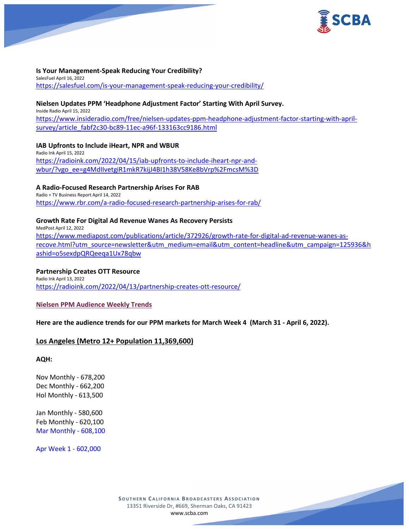

### **Is Your Management-Speak Reducing Your Credibility?**

SalesFuel April 16, 2022 <https://salesfuel.com/is-your-management-speak-reducing-your-credibility/>

### **Nielsen Updates PPM 'Headphone Adjustment Factor' Starting With April Survey.**

Inside Radio April 15, 2022 [https://www.insideradio.com/free/nielsen-updates-ppm-headphone-adjustment-factor-starting-with-april](https://www.insideradio.com/free/nielsen-updates-ppm-headphone-adjustment-factor-starting-with-april-survey/article_fabf2c30-bc89-11ec-a96f-133163cc9186.html)[survey/article\\_fabf2c30-bc89-11ec-a96f-133163cc9186.html](https://www.insideradio.com/free/nielsen-updates-ppm-headphone-adjustment-factor-starting-with-april-survey/article_fabf2c30-bc89-11ec-a96f-133163cc9186.html)

**IAB Upfronts to Include iHeart, NPR and WBUR** Radio Ink April 15, 2022 [https://radioink.com/2022/04/15/iab-upfronts-to-include-iheart-npr-and](https://radioink.com/2022/04/15/iab-upfronts-to-include-iheart-npr-and-wbur/?vgo_ee=g4MdIIvetgiR1mkR7kijJ4BI1h38V58Ke8bVrp%2FmcsM%3D)[wbur/?vgo\\_ee=g4MdIIvetgiR1mkR7kijJ4BI1h38V58Ke8bVrp%2FmcsM%3D](https://radioink.com/2022/04/15/iab-upfronts-to-include-iheart-npr-and-wbur/?vgo_ee=g4MdIIvetgiR1mkR7kijJ4BI1h38V58Ke8bVrp%2FmcsM%3D)

**A Radio-Focused Research Partnership Arises For RAB**

Radio + TV Business Report April 14, 2022 <https://www.rbr.com/a-radio-focused-research-partnership-arises-for-rab/>

#### **Growth Rate For Digital Ad Revenue Wanes As Recovery Persists**

MedPost April 12, 2022 [https://www.mediapost.com/publications/article/372926/growth-rate-for-digital-ad-revenue-wanes-as](https://www.mediapost.com/publications/article/372926/growth-rate-for-digital-ad-revenue-wanes-as-recove.html?utm_source=newsletter&utm_medium=email&utm_content=headline&utm_campaign=125936&hashid=o5sexdpQRQeeqa1Ux78qbw)[recove.html?utm\\_source=newsletter&utm\\_medium=email&utm\\_content=headline&utm\\_campaign=125936&h](https://www.mediapost.com/publications/article/372926/growth-rate-for-digital-ad-revenue-wanes-as-recove.html?utm_source=newsletter&utm_medium=email&utm_content=headline&utm_campaign=125936&hashid=o5sexdpQRQeeqa1Ux78qbw) [ashid=o5sexdpQRQeeqa1Ux78qbw](https://www.mediapost.com/publications/article/372926/growth-rate-for-digital-ad-revenue-wanes-as-recove.html?utm_source=newsletter&utm_medium=email&utm_content=headline&utm_campaign=125936&hashid=o5sexdpQRQeeqa1Ux78qbw)

### **Partnership Creates OTT Resource**

Radio Ink April 13, 2022 <https://radioink.com/2022/04/13/partnership-creates-ott-resource/>

### **Nielsen PPM Audience Weekly Trends**

**Here are the audience trends for our PPM markets for March Week 4 (March 31 - April 6, 2022).** 

## **Los Angeles (Metro 12+ Population 11,369,600)**

**AQH:**

Nov Monthly - 678,200 Dec Monthly - 662,200 Hol Monthly - 613,500

Jan Monthly - 580,600 Feb Monthly - 620,100 Mar Monthly - 608,100

Apr Week 1 - 602,000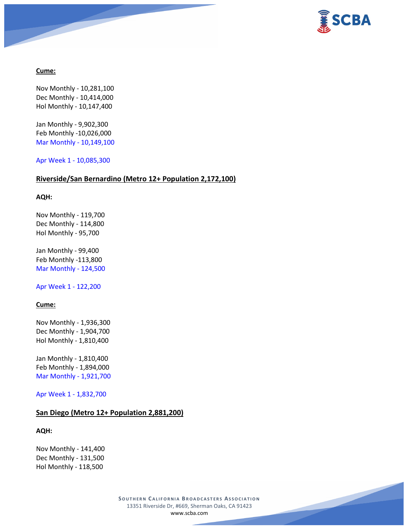

## **Cume:**

Nov Monthly - 10,281,100 Dec Monthly - 10,414,000 Hol Monthly - 10,147,400

Jan Monthly - 9,902,300 Feb Monthly -10,026,000 Mar Monthly - 10,149,100

Apr Week 1 - 10,085,300

## **Riverside/San Bernardino (Metro 12+ Population 2,172,100)**

### **AQH:**

Nov Monthly - 119,700 Dec Monthly - 114,800 Hol Monthly - 95,700

Jan Monthly - 99,400 Feb Monthly -113,800 Mar Monthly - 124,500

Apr Week 1 - 122,200

## **Cume:**

Nov Monthly - 1,936,300 Dec Monthly - 1,904,700 Hol Monthly - 1,810,400

Jan Monthly - 1,810,400 Feb Monthly - 1,894,000 Mar Monthly - 1,921,700

Apr Week 1 - 1,832,700

## **San Diego (Metro 12+ Population 2,881,200)**

### **AQH:**

Nov Monthly - 141,400 Dec Monthly - 131,500 Hol Monthly - 118,500

> **SOUTHERN C ALIFORNIA B ROADCASTERS ASSOCIATION** 13351 Riverside Dr, #669, Sherman Oaks, CA 91423 [www.scba.com](http://www.scba.com/)